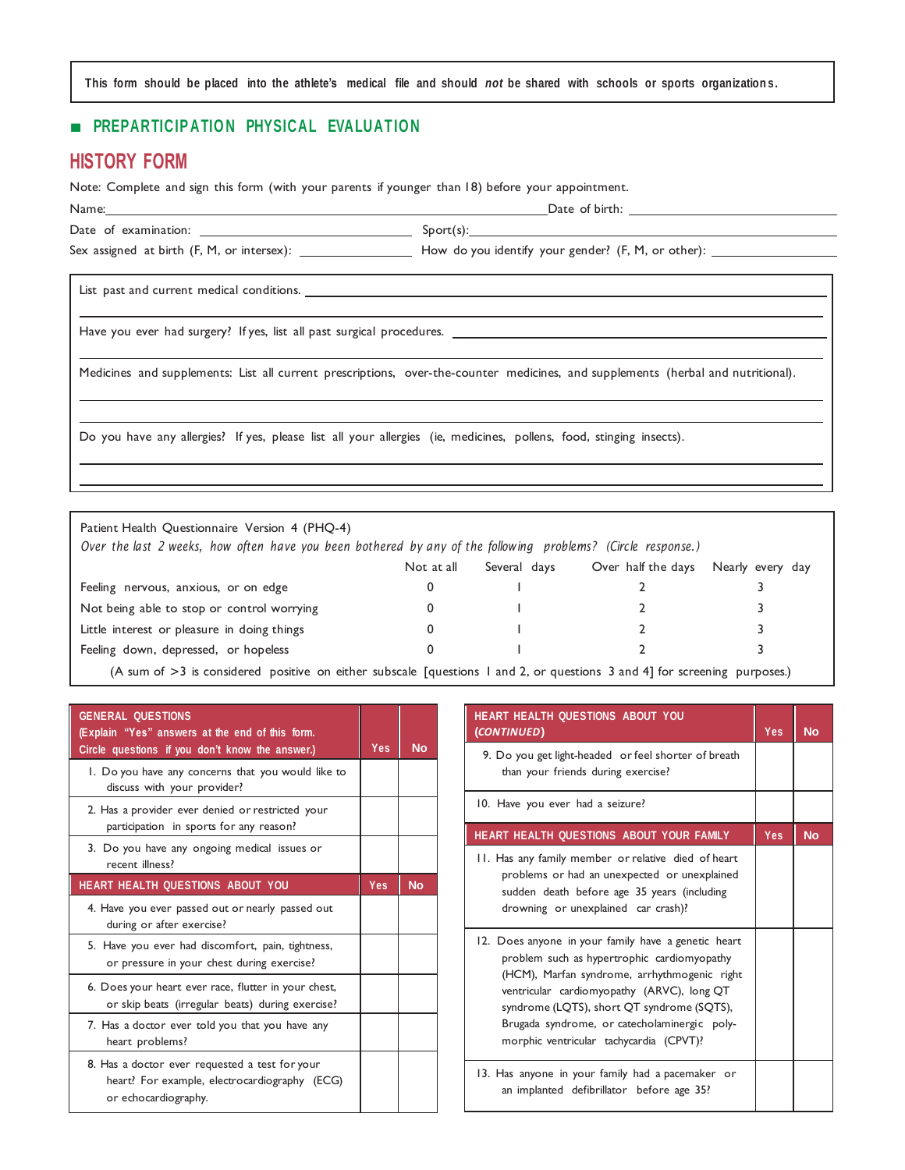This form should be placed into the athlete's medical file and should not be shared with schools or sports organizations.

## ■ **PREPARTICIP ATIO N PHYSICAL EVALUATIO N**

## **HISTORY FORM**

Note: Complete and sign this form (with your parents if younger than 18) before your appointment.

| Name: and the contract of the contract of the contract of the contract of the contract of the contract of the contract of the contract of the contract of the contract of the contract of the contract of the contract of the |                                                                                                                                  |  |
|-------------------------------------------------------------------------------------------------------------------------------------------------------------------------------------------------------------------------------|----------------------------------------------------------------------------------------------------------------------------------|--|
|                                                                                                                                                                                                                               | ${\sf Sport(s)}$ :                                                                                                               |  |
|                                                                                                                                                                                                                               |                                                                                                                                  |  |
|                                                                                                                                                                                                                               |                                                                                                                                  |  |
|                                                                                                                                                                                                                               |                                                                                                                                  |  |
|                                                                                                                                                                                                                               | Medicines and supplements: List all current prescriptions, over-the-counter medicines, and supplements (herbal and nutritional). |  |

Do you have any allergies? If yes, please list all your allergies (ie, medicines, pollens, food, stinging insects).

| Patient Health Questionnaire Version 4 (PHQ-4)<br>Over the last 2 weeks, how often have you been bothered by any of the following problems? (Circle response.) |            |              |                    |                  |
|----------------------------------------------------------------------------------------------------------------------------------------------------------------|------------|--------------|--------------------|------------------|
|                                                                                                                                                                | Not at all | Several days | Over half the days | Nearly every day |
| Feeling nervous, anxious, or on edge                                                                                                                           |            |              |                    |                  |
| Not being able to stop or control worrying                                                                                                                     |            |              |                    |                  |
| Little interest or pleasure in doing things                                                                                                                    |            |              |                    |                  |
| Feeling down, depressed, or hopeless                                                                                                                           |            |              |                    |                  |
| (A sum of $\leq$ ) is considered positive on either subscale Laugetians Land 2 or questions 2 and 41 for compaign purposes)                                    |            |              |                    |                  |

(A sum of >3 is considered positive on either subscale [questions 1 and 2, or questions 3 and 4] for screening purposes.)

| <b>GENERAL QUESTIONS</b><br>(Explain "Yes" answers at the end of this form.<br>Circle questions if you don't know the answer.) | Yes | <b>No</b> |
|--------------------------------------------------------------------------------------------------------------------------------|-----|-----------|
| 1. Do you have any concerns that you would like to<br>discuss with your provider?                                              |     |           |
| 2. Has a provider ever denied or restricted your<br>participation in sports for any reason?                                    |     |           |
| 3. Do you have any ongoing medical issues or<br>recent illness?                                                                |     |           |
| <b>HEART HEALTH QUESTIONS ABOUT YOU</b>                                                                                        | Yes | <b>No</b> |
| 4. Have you ever passed out or nearly passed out<br>during or after exercise?                                                  |     |           |
| 5. Have you ever had discomfort, pain, tightness,<br>or pressure in your chest during exercise?                                |     |           |
| 6. Does your heart ever race, flutter in your chest,<br>or skip beats (irregular beats) during exercise?                       |     |           |
| 7. Has a doctor ever told you that you have any<br>heart problems?                                                             |     |           |
| 8. Has a doctor ever requested a test for your<br>heart? For example, electrocardiography (ECG)<br>or echocardiography.        |     |           |

| <b>HEART HEALTH QUESTIONS ABOUT YOU</b><br>(CONTINUED)                                                                                                                                                                                                                                                                                    | Yes        | <b>No</b> |
|-------------------------------------------------------------------------------------------------------------------------------------------------------------------------------------------------------------------------------------------------------------------------------------------------------------------------------------------|------------|-----------|
| 9. Do you get light-headed or feel shorter of breath<br>than your friends during exercise?                                                                                                                                                                                                                                                |            |           |
| 10. Have you ever had a seizure?                                                                                                                                                                                                                                                                                                          |            |           |
| HEART HEALTH QUESTIONS ABOUT YOUR FAMILY                                                                                                                                                                                                                                                                                                  | <b>Yes</b> | <b>No</b> |
| 11. Has any family member or relative died of heart<br>problems or had an unexpected or unexplained<br>sudden death before age 35 years (including<br>drowning or unexplained car crash)?                                                                                                                                                 |            |           |
| 12. Does anyone in your family have a genetic heart<br>problem such as hypertrophic cardiomyopathy<br>(HCM), Marfan syndrome, arrhythmogenic right<br>ventricular cardiomyopathy (ARVC), long QT<br>syndrome (LQTS), short QT syndrome (SQTS),<br>Brugada syndrome, or catecholaminergic poly-<br>morphic ventricular tachycardia (CPVT)? |            |           |
| 13. Has anyone in your family had a pacemaker or<br>an implanted defibrillator before age 35?                                                                                                                                                                                                                                             |            |           |